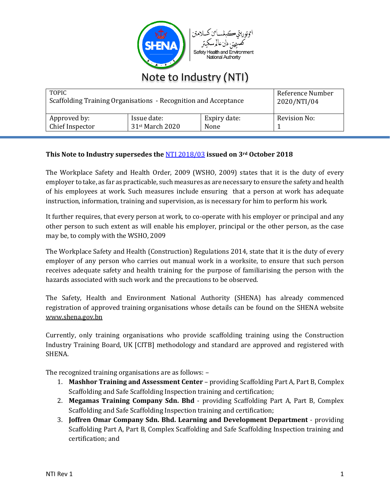

| Note to Industry (NTI) |  |
|------------------------|--|
|                        |  |

| <b>TOPIC</b><br>Scaffolding Training Organisations - Recognition and Acceptance |                                            |                      | Reference Number<br>2020/NTI/04 |  |
|---------------------------------------------------------------------------------|--------------------------------------------|----------------------|---------------------------------|--|
| Approved by:<br>Chief Inspector                                                 | Issue date:<br>31 <sup>st</sup> March 2020 | Expiry date:<br>None | Revision No:                    |  |

## **This Note to Industry supersedes the** [NTI 2018/03](http://shena.gov.bn/NoteToIndustry/2018/NTI%202018%2003%20-%20SCAFFOLDING%20TRAINING%20RECOGNITION.pdf) **issued on 3rd October 2018**

The Workplace Safety and Health Order, 2009 (WSHO, 2009) states that it is the duty of every employer to take, as far as practicable, such measures as are necessary to ensure the safety and health of his employees at work. Such measures include ensuring that a person at work has adequate instruction, information, training and supervision, as is necessary for him to perform his work.

It further requires, that every person at work, to co-operate with his employer or principal and any other person to such extent as will enable his employer, principal or the other person, as the case may be, to comply with the WSHO, 2009

The Workplace Safety and Health (Construction) Regulations 2014, state that it is the duty of every employer of any person who carries out manual work in a worksite, to ensure that such person receives adequate safety and health training for the purpose of familiarising the person with the hazards associated with such work and the precautions to be observed.

The Safety, Health and Environment National Authority (SHENA) has already commenced registration of approved training organisations whose details can be found on the SHENA website [www.shena.gov.bn](http://shena.gov.bn/SitePages/Find%20an%20accredited%20training%20provider.aspx)

Currently, only training organisations who provide scaffolding training using the Construction Industry Training Board, UK [CITB] methodology and standard are approved and registered with SHENA.

The recognized training organisations are as follows: –

- 1. **Mashhor Training and Assessment Center** providing Scaffolding Part A, Part B, Complex Scaffolding and Safe Scaffolding Inspection training and certification;
- 2. **Megamas Training Company Sdn. Bhd** providing Scaffolding Part A, Part B, Complex Scaffolding and Safe Scaffolding Inspection training and certification;
- 3. **Joffren Omar Company Sdn. Bhd. Learning and Development Department** providing Scaffolding Part A, Part B, Complex Scaffolding and Safe Scaffolding Inspection training and certification; and